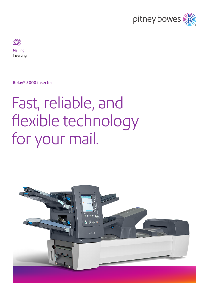



Relay® 5000 inserter

# Fast, reliable, and flexible technology for your mail.

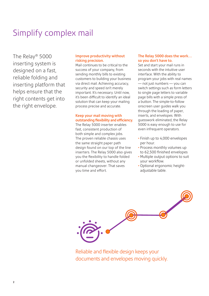### Simplify complex mail

The Relay® 5000 inserting system is designed on a fast, reliable folding and inserting platform that helps ensure that the right contents get into the right envelope.

### Improve productivity without risking precision.

Mail continues to be critical to the success of your company, from sending monthly bills to existing customers to building your business via direct mail. Achieving accuracy, security and speed isn't merely important. It's necessary. Until now, it's been difficult to identify an ideal solution that can keep your mailing process precise and accurate.

### Keep your mail moving with outstanding flexibility and efficiency.

The Relay 5000 inserter enables fast, consistent production of both simple and complex jobs. The proven reliable chassis uses the same straight paper path design found on our top of the line inserters. The Relay 5000 also gives you the flexibility to handle folded or unfolded sheets, without any manual changeover. That saves you time and effort.

### The Relay 5000 does the work… so you don't have to.

Set and start your mail runs in seconds with the intuitive user interface. With the ability to program your jobs with real names — not just numbers — you can switch settings such as form letters to single page letters to variable page bills with a simple press of a button. The simple-to-follow onscreen user guides walk you through the loading of paper, inserts, and envelopes. With guesswork eliminated, the Relay 5000 is easy enough to use for even infrequent operators.

- Finish up to 4,000 envelopes per hour.
- Process monthly volumes up to 62,500 finished envelopes
- Multiple output options to suit your workflow.
- Optional ergonomic heightadjustable table.



Reliable and flexible design keeps your documents and envelopes moving quickly.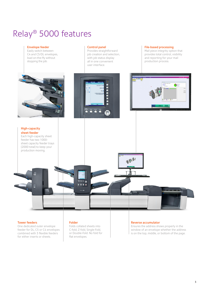### Relay® 5000 features



#### Tower feeders

One dedicated outer envelope feeder for DL, C5 or C4 envelopes combined with 3 flexible feeders for either inserts or sheets.

#### Folder

Folds collated sheets into C-fold, Z-fold, Single-Fold, or Double-Fold. No fold for flat envelopes.

#### Reverse accumulator

Ensures the address shows properly in the window of an envelope whether the address is on the top, middle, or bottom of the page.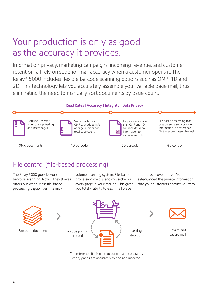### Your production is only as good as the accuracy it provides.

Information privacy, marketing campaigns, incoming revenue, and customer retention, all rely on superior mail accuracy when a customer opens it. The Relay® 5000 includes flexible barcode scanning options such as OMR, 1D and 2D. This technology lets you accurately assemble your variable page mail, thus eliminating the need to manually sort documents by page count.

### Read Rates | Accuracy | Integrity | Data Privacy



OMR documents 1D barcode 2D barcode



File control

### File control (file-based processing)

The Relay 5000 goes beyond barcode scanning. Now, Pitney Bowes offers our world-class file-based processing capabilities in a midvolume inserting system. File-based processing checks and cross-checks every page in your mailing. This gives you total visibility to each mail piece

and helps prove that you've safeguarded the private information that your customers entrust you with.



Barcoded documents





Private and

The reference file is used to control and constantly verify pages are accurately folded and inserted.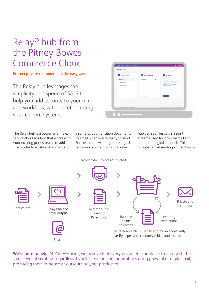## Relay® hub from the Pitney Bowes Commerce Cloud

### Protect private customer data the easy way.

The Relay hub leverages the simplicity and speed of SaaS to help you add security to your mail and workflow, without interrupting your current systems.

Email

| Process Date         |  |
|----------------------|--|
| <b>CO</b> Today<br>ы |  |
|                      |  |
|                      |  |
| Cancel               |  |
|                      |  |
|                      |  |
|                      |  |

The Relay hub is a powerful, simple, secure cloud solution that works with your existing print streams to add scan codes to existing documents. It

also helps you transition documents to email when you're ready to send. For customers wanting more digital communication options, the Relay

hub can seamlessly shift print streams used for physical mail and adapt it to digital channels. This includes email sending and archiving.



We're here to help. At Pitney Bowes, we believe that every document should be treated with the same level of scrutiny, regardless if you're sending communications using physical or digital mail, producing them in-house or outsourcing your production.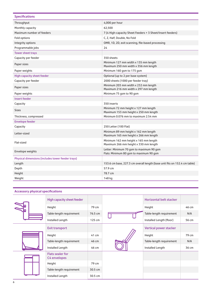| 4,000 per hour<br>Throughput<br>62,500<br>Monthly capacity<br>Maximum number of feeders<br>7 (4 High-capacity Sheet Feeders + 3 Sheet/Insert feeders)<br>C, Z, Half, Double, No Fold<br>Fold options<br>OMR, 1D, 2D, exit scanning, file-based processing<br>Integrity options<br>24<br>Programmable jobs<br><b>Tower sheet trays</b><br>350 sheets<br>Capacity per feeder<br>Minimum 127 mm width x 135 mm length<br>Paper sizes<br>Maximum 250 mm width x 356 mm length<br>Paper weights<br>Minimum 160 gsm to 175 gsm<br>High-capacity sheet feeder<br>Optional (up to 2 per base system)<br>2000 sheets (1000 per feeder tray)<br>Capacity per feeder<br>Minimum 203 mm width x 232 mm length<br>Paper sizes<br>Maximum 216 mm width x 297 mm length<br>Minimum 75 gsm to 90 gsm<br>Paper weights<br>Insert feeder<br>350 inserts<br>Capacity<br>Minimum 72 mm height x 127 mm length<br><b>Sizes</b><br>Maximum 153 mm height x 250 mm length<br>Minimum 0.076 mm to maximum 2.54 mm<br>Thickness, compressed<br><b>Envelope feeder</b><br>Capacity<br>250 Letter (100 Flat)<br>Minimum 89 mm height x 162 mm length<br>Letter-sized<br>Maximum 165 mm height x 266 mm length<br>Minimum 162 mm height x 165 mm length<br>Flat-sized<br>Maximum 266 mm height x 330 mm length<br>Letter: Minimum 70 gsm to maximum 90 gsm<br>Envelope weights<br>Flats: Minimum 80 gsm to maximum 90 gsm<br>Physical dimensions (includes tower feeder trays)<br>153.6 cm base, 227.3 cm overall length (base unit fits on 152.4 cm table)<br>Length<br>57.9 cm<br>Depth<br>78.7 cm<br>Height<br>Weight<br>148 kg | <b>Specifications</b> |  |  |  |
|--------------------------------------------------------------------------------------------------------------------------------------------------------------------------------------------------------------------------------------------------------------------------------------------------------------------------------------------------------------------------------------------------------------------------------------------------------------------------------------------------------------------------------------------------------------------------------------------------------------------------------------------------------------------------------------------------------------------------------------------------------------------------------------------------------------------------------------------------------------------------------------------------------------------------------------------------------------------------------------------------------------------------------------------------------------------------------------------------------------------------------------------------------------------------------------------------------------------------------------------------------------------------------------------------------------------------------------------------------------------------------------------------------------------------------------------------------------------------------------------------------------------------------------------------------------------------------------------------------|-----------------------|--|--|--|
|                                                                                                                                                                                                                                                                                                                                                                                                                                                                                                                                                                                                                                                                                                                                                                                                                                                                                                                                                                                                                                                                                                                                                                                                                                                                                                                                                                                                                                                                                                                                                                                                        |                       |  |  |  |
|                                                                                                                                                                                                                                                                                                                                                                                                                                                                                                                                                                                                                                                                                                                                                                                                                                                                                                                                                                                                                                                                                                                                                                                                                                                                                                                                                                                                                                                                                                                                                                                                        |                       |  |  |  |
|                                                                                                                                                                                                                                                                                                                                                                                                                                                                                                                                                                                                                                                                                                                                                                                                                                                                                                                                                                                                                                                                                                                                                                                                                                                                                                                                                                                                                                                                                                                                                                                                        |                       |  |  |  |
|                                                                                                                                                                                                                                                                                                                                                                                                                                                                                                                                                                                                                                                                                                                                                                                                                                                                                                                                                                                                                                                                                                                                                                                                                                                                                                                                                                                                                                                                                                                                                                                                        |                       |  |  |  |
|                                                                                                                                                                                                                                                                                                                                                                                                                                                                                                                                                                                                                                                                                                                                                                                                                                                                                                                                                                                                                                                                                                                                                                                                                                                                                                                                                                                                                                                                                                                                                                                                        |                       |  |  |  |
|                                                                                                                                                                                                                                                                                                                                                                                                                                                                                                                                                                                                                                                                                                                                                                                                                                                                                                                                                                                                                                                                                                                                                                                                                                                                                                                                                                                                                                                                                                                                                                                                        |                       |  |  |  |
|                                                                                                                                                                                                                                                                                                                                                                                                                                                                                                                                                                                                                                                                                                                                                                                                                                                                                                                                                                                                                                                                                                                                                                                                                                                                                                                                                                                                                                                                                                                                                                                                        |                       |  |  |  |
|                                                                                                                                                                                                                                                                                                                                                                                                                                                                                                                                                                                                                                                                                                                                                                                                                                                                                                                                                                                                                                                                                                                                                                                                                                                                                                                                                                                                                                                                                                                                                                                                        |                       |  |  |  |
|                                                                                                                                                                                                                                                                                                                                                                                                                                                                                                                                                                                                                                                                                                                                                                                                                                                                                                                                                                                                                                                                                                                                                                                                                                                                                                                                                                                                                                                                                                                                                                                                        |                       |  |  |  |
|                                                                                                                                                                                                                                                                                                                                                                                                                                                                                                                                                                                                                                                                                                                                                                                                                                                                                                                                                                                                                                                                                                                                                                                                                                                                                                                                                                                                                                                                                                                                                                                                        |                       |  |  |  |
|                                                                                                                                                                                                                                                                                                                                                                                                                                                                                                                                                                                                                                                                                                                                                                                                                                                                                                                                                                                                                                                                                                                                                                                                                                                                                                                                                                                                                                                                                                                                                                                                        |                       |  |  |  |
|                                                                                                                                                                                                                                                                                                                                                                                                                                                                                                                                                                                                                                                                                                                                                                                                                                                                                                                                                                                                                                                                                                                                                                                                                                                                                                                                                                                                                                                                                                                                                                                                        |                       |  |  |  |
|                                                                                                                                                                                                                                                                                                                                                                                                                                                                                                                                                                                                                                                                                                                                                                                                                                                                                                                                                                                                                                                                                                                                                                                                                                                                                                                                                                                                                                                                                                                                                                                                        |                       |  |  |  |
|                                                                                                                                                                                                                                                                                                                                                                                                                                                                                                                                                                                                                                                                                                                                                                                                                                                                                                                                                                                                                                                                                                                                                                                                                                                                                                                                                                                                                                                                                                                                                                                                        |                       |  |  |  |
|                                                                                                                                                                                                                                                                                                                                                                                                                                                                                                                                                                                                                                                                                                                                                                                                                                                                                                                                                                                                                                                                                                                                                                                                                                                                                                                                                                                                                                                                                                                                                                                                        |                       |  |  |  |
|                                                                                                                                                                                                                                                                                                                                                                                                                                                                                                                                                                                                                                                                                                                                                                                                                                                                                                                                                                                                                                                                                                                                                                                                                                                                                                                                                                                                                                                                                                                                                                                                        |                       |  |  |  |
|                                                                                                                                                                                                                                                                                                                                                                                                                                                                                                                                                                                                                                                                                                                                                                                                                                                                                                                                                                                                                                                                                                                                                                                                                                                                                                                                                                                                                                                                                                                                                                                                        |                       |  |  |  |
|                                                                                                                                                                                                                                                                                                                                                                                                                                                                                                                                                                                                                                                                                                                                                                                                                                                                                                                                                                                                                                                                                                                                                                                                                                                                                                                                                                                                                                                                                                                                                                                                        |                       |  |  |  |
|                                                                                                                                                                                                                                                                                                                                                                                                                                                                                                                                                                                                                                                                                                                                                                                                                                                                                                                                                                                                                                                                                                                                                                                                                                                                                                                                                                                                                                                                                                                                                                                                        |                       |  |  |  |
|                                                                                                                                                                                                                                                                                                                                                                                                                                                                                                                                                                                                                                                                                                                                                                                                                                                                                                                                                                                                                                                                                                                                                                                                                                                                                                                                                                                                                                                                                                                                                                                                        |                       |  |  |  |
|                                                                                                                                                                                                                                                                                                                                                                                                                                                                                                                                                                                                                                                                                                                                                                                                                                                                                                                                                                                                                                                                                                                                                                                                                                                                                                                                                                                                                                                                                                                                                                                                        |                       |  |  |  |
|                                                                                                                                                                                                                                                                                                                                                                                                                                                                                                                                                                                                                                                                                                                                                                                                                                                                                                                                                                                                                                                                                                                                                                                                                                                                                                                                                                                                                                                                                                                                                                                                        |                       |  |  |  |
|                                                                                                                                                                                                                                                                                                                                                                                                                                                                                                                                                                                                                                                                                                                                                                                                                                                                                                                                                                                                                                                                                                                                                                                                                                                                                                                                                                                                                                                                                                                                                                                                        |                       |  |  |  |
|                                                                                                                                                                                                                                                                                                                                                                                                                                                                                                                                                                                                                                                                                                                                                                                                                                                                                                                                                                                                                                                                                                                                                                                                                                                                                                                                                                                                                                                                                                                                                                                                        |                       |  |  |  |
|                                                                                                                                                                                                                                                                                                                                                                                                                                                                                                                                                                                                                                                                                                                                                                                                                                                                                                                                                                                                                                                                                                                                                                                                                                                                                                                                                                                                                                                                                                                                                                                                        |                       |  |  |  |
|                                                                                                                                                                                                                                                                                                                                                                                                                                                                                                                                                                                                                                                                                                                                                                                                                                                                                                                                                                                                                                                                                                                                                                                                                                                                                                                                                                                                                                                                                                                                                                                                        |                       |  |  |  |
|                                                                                                                                                                                                                                                                                                                                                                                                                                                                                                                                                                                                                                                                                                                                                                                                                                                                                                                                                                                                                                                                                                                                                                                                                                                                                                                                                                                                                                                                                                                                                                                                        |                       |  |  |  |
|                                                                                                                                                                                                                                                                                                                                                                                                                                                                                                                                                                                                                                                                                                                                                                                                                                                                                                                                                                                                                                                                                                                                                                                                                                                                                                                                                                                                                                                                                                                                                                                                        |                       |  |  |  |

### **Accessory physical specifications**

|  | High capacity sheet feeder              |         |  | Horizontal belt stacker  |       |
|--|-----------------------------------------|---------|--|--------------------------|-------|
|  | Height                                  | 79 cm   |  | Height                   | 46 cm |
|  | Table-length requirement                | 76.5 cm |  | Table-length requirement | N/A   |
|  | Installed Length                        | 125 cm  |  | Installed Length (floor) | 56 cm |
|  | <b>Exit transport</b>                   |         |  | Vertical power stacker   |       |
|  | Height                                  | 41 cm   |  | Height                   | 79 cm |
|  | Table-length requirement                | 46 cm   |  | Table-length requirement | N/A   |
|  | Installed Length                        | 46 cm   |  | Installed Length         | 36 cm |
|  | <b>Flats sealer for</b><br>C4 envelopes |         |  |                          |       |
|  | Height                                  | 79 cm   |  |                          |       |
|  | Table-length requirement                | 30.5 cm |  |                          |       |
|  | Installed Length                        | 30.5 cm |  |                          |       |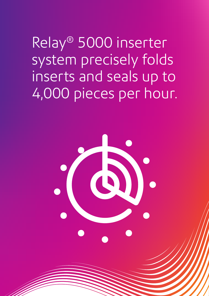Relay® 5000 inserter system precisely folds inserts and seals up to 4,000 pieces per hour.